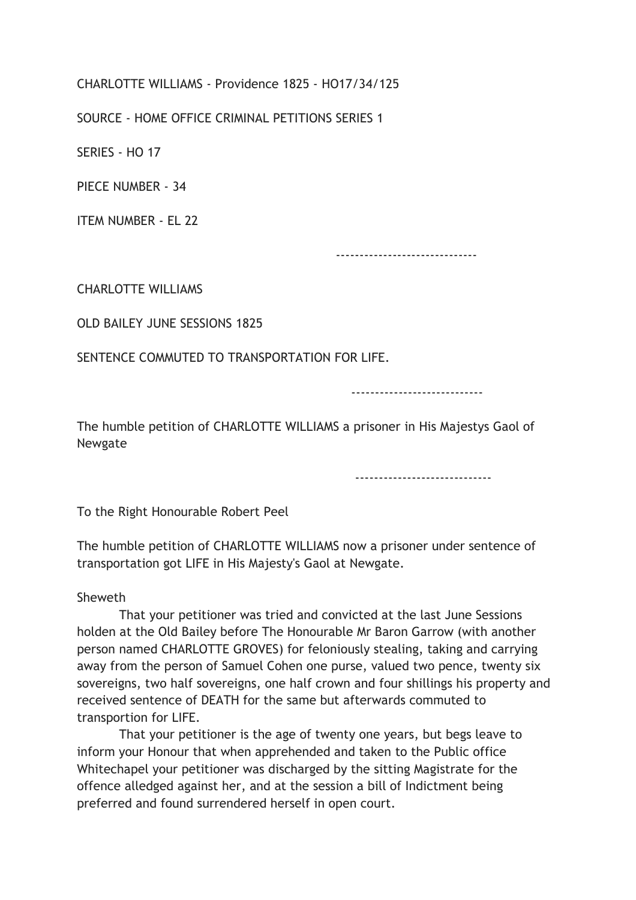CHARLOTTE WILLIAMS - Providence 1825 - HO17/34/125

SOURCE - HOME OFFICE CRIMINAL PETITIONS SERIES 1

SERIES - HO 17

PIECE NUMBER - 34

ITEM NUMBER - EL 22

------------------------------

CHARLOTTE WILLIAMS

OLD BAILEY JUNE SESSIONS 1825

SENTENCE COMMUTED TO TRANSPORTATION FOR LIFE.

----------------------------

The humble petition of CHARLOTTE WILLIAMS a prisoner in His Majestys Gaol of Newgate

-----------------------------

To the Right Honourable Robert Peel

The humble petition of CHARLOTTE WILLIAMS now a prisoner under sentence of transportation got LIFE in His Majesty's Gaol at Newgate.

## Sheweth

 That your petitioner was tried and convicted at the last June Sessions holden at the Old Bailey before The Honourable Mr Baron Garrow (with another person named CHARLOTTE GROVES) for feloniously stealing, taking and carrying away from the person of Samuel Cohen one purse, valued two pence, twenty six sovereigns, two half sovereigns, one half crown and four shillings his property and received sentence of DEATH for the same but afterwards commuted to transportion for LIFE.

 That your petitioner is the age of twenty one years, but begs leave to inform your Honour that when apprehended and taken to the Public office Whitechapel your petitioner was discharged by the sitting Magistrate for the offence alledged against her, and at the session a bill of Indictment being preferred and found surrendered herself in open court.